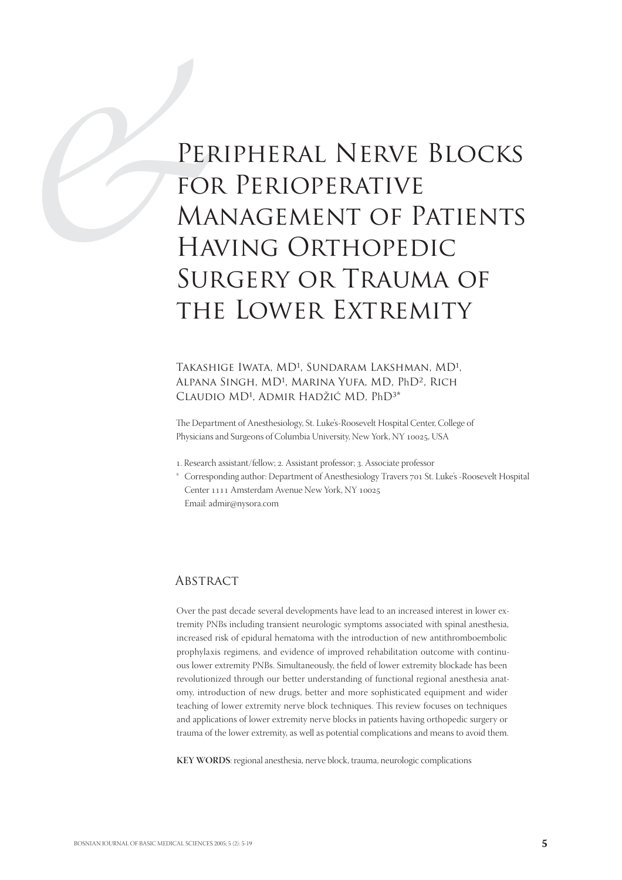# PER<br>
FOF<br>
MA<br>
HAY<br>
SUF<br>
TUP Peripheral Nerve Blocks for Perioperative Management of Patients Having Orthopedic Surgery or Trauma of the Lower Extremity

## TAKASHIGE IWATA, MD<sup>1</sup>, SUNDARAM LAKSHMAN, MD<sup>1</sup>, ALPANA SINGH, MD<sup>1</sup>, MARINA YUFA, MD, PhD<sup>2</sup>, RICH CLAUDIO MD<sup>1</sup>, ADMIR HADŽIĆ MD, PhD<sup>3\*</sup>

The Department of Anesthesiology, St. Luke's-Roosevelt Hospital Center, College of Physicians and Surgeons of Columbia University, New York, NY 10025, USA

- 1. Research assistant/fellow; 2. Assistant professor; 3. Associate professor
- \* Corresponding author: Department of Anesthesiology Travers 701 St. Luke's -Roosevelt Hospital Center 1111 Amsterdam Avenue New York, NY 10025 Email: admir@nysora.com

#### **ABSTRACT**

Over the past decade several developments have lead to an increased interest in lower extremity PNBs including transient neurologic symptoms associated with spinal anesthesia, increased risk of epidural hematoma with the introduction of new antithromboembolic prophylaxis regimens, and evidence of improved rehabilitation outcome with continuous lower extremity PNBs. Simultaneously, the field of lower extremity blockade has been revolutionized through our better understanding of functional regional anesthesia anatomy, introduction of new drugs, better and more sophisticated equipment and wider teaching of lower extremity nerve block techniques. This review focuses on techniques and applications of lower extremity nerve blocks in patients having orthopedic surgery or trauma of the lower extremity, as well as potential complications and means to avoid them.

**KEY WORDS**: regional anesthesia, nerve block, trauma, neurologic complications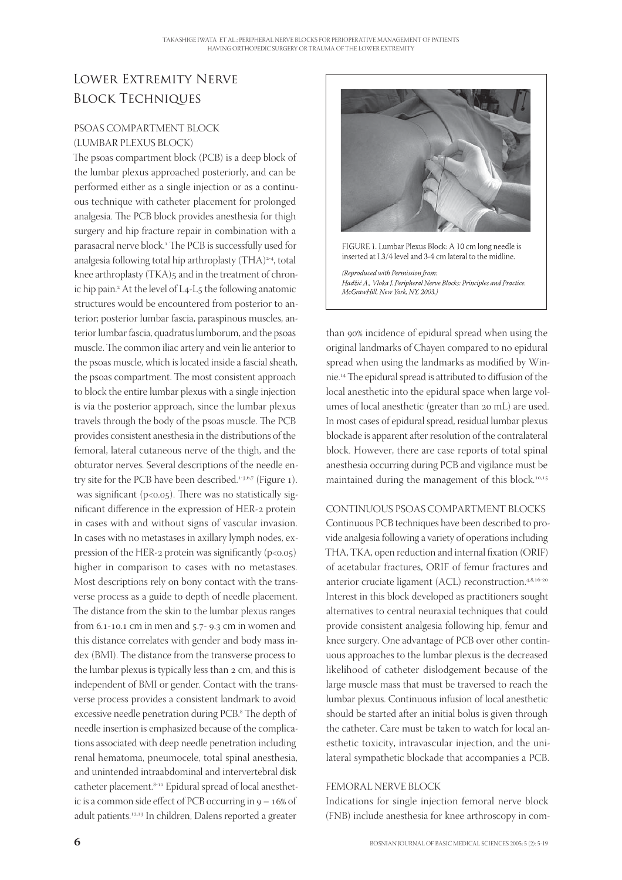# Lower Extremity Nerve Block Techniques

# PSOAS COMPARTMENT BLOCK (LUMBAR PLEXUS BLOCK)

The psoas compartment block (PCB) is a deep block of the lumbar plexus approached posteriorly, and can be performed either as a single injection or as a continuous technique with catheter placement for prolonged analgesia. The PCB block provides anesthesia for thigh surgery and hip fracture repair in combination with a parasacral nerve block.<sup>1</sup> The PCB is successfully used for analgesia following total hip arthroplasty (THA)<sup>2-4</sup>, total knee arthroplasty (TKA)5 and in the treatment of chronic hip pain.<sup>2</sup> At the level of L4-L5 the following anatomic structures would be encountered from posterior to anterior; posterior lumbar fascia, paraspinous muscles, anterior lumbar fascia, quadratus lumborum, and the psoas muscle. The common iliac artery and vein lie anterior to the psoas muscle, which is located inside a fascial sheath, the psoas compartment. The most consistent approach to block the entire lumbar plexus with a single injection is via the posterior approach, since the lumbar plexus travels through the body of the psoas muscle. The PCB provides consistent anesthesia in the distributions of the femoral, lateral cutaneous nerve of the thigh, and the obturator nerves. Several descriptions of the needle entry site for the PCB have been described. $1-3.6,7$  (Figure 1). was significant ( $p<0.05$ ). There was no statistically significant difference in the expression of HER-2 protein in cases with and without signs of vascular invasion. In cases with no metastases in axillary lymph nodes, expression of the HER-2 protein was significantly  $(p<0.05)$ higher in comparison to cases with no metastases. Most descriptions rely on bony contact with the transverse process as a guide to depth of needle placement. The distance from the skin to the lumbar plexus ranges from  $6.1$ -10.1 cm in men and  $5.7$ -9.3 cm in women and this distance correlates with gender and body mass index (BMI). The distance from the transverse process to the lumbar plexus is typically less than  $2 \text{ cm}$ , and this is independent of BMI or gender. Contact with the transverse process provides a consistent landmark to avoid excessive needle penetration during PCB.<sup>8</sup> The depth of needle insertion is emphasized because of the complications associated with deep needle penetration including renal hematoma, pneumocele, total spinal anesthesia, and unintended intraabdominal and intervertebral disk catheter placement.<sup>8-11</sup> Epidural spread of local anesthetic is a common side effect of PCB occurring in  $9 - 16\%$  of adult patients.<sup>12,13</sup> In children, Dalens reported a greater





(Reproduced with Permission from: .<br>Hadžić A., Vloka J. Peripheral Nerve Blocks: Principles and Practice. McGrawHill, New York, NY, 2003.)

than 90% incidence of epidural spread when using the original landmarks of Chayen compared to no epidural spread when using the landmarks as modified by Winnie.<sup>14</sup> The epidural spread is attributed to diffusion of the local anesthetic into the epidural space when large volumes of local anesthetic (greater than 20 mL) are used. In most cases of epidural spread, residual lumbar plexus blockade is apparent after resolution of the contralateral block. However, there are case reports of total spinal anesthesia occurring during PCB and vigilance must be maintained during the management of this block.<sup>10,15</sup>

#### CONTINUOUS PSOAS COMPARTMENT BLOCKS

Continuous PCB techniques have been described to provide analgesia following a variety of operations including THA, TKA, open reduction and internal fixation (ORIF) of acetabular fractures, ORIF of femur fractures and anterior cruciate ligament  $(ACL)$  reconstruction.<sup>4,8,16-20</sup> Interest in this block developed as practitioners sought alternatives to central neuraxial techniques that could provide consistent analgesia following hip, femur and knee surgery. One advantage of PCB over other continuous approaches to the lumbar plexus is the decreased likelihood of catheter dislodgement because of the large muscle mass that must be traversed to reach the lumbar plexus. Continuous infusion of local anesthetic should be started after an initial bolus is given through the catheter. Care must be taken to watch for local anesthetic toxicity, intravascular injection, and the unilateral sympathetic blockade that accompanies a PCB.

#### FEMORAL NERVE BLOCK

Indications for single injection femoral nerve block (FNB) include anesthesia for knee arthroscopy in com-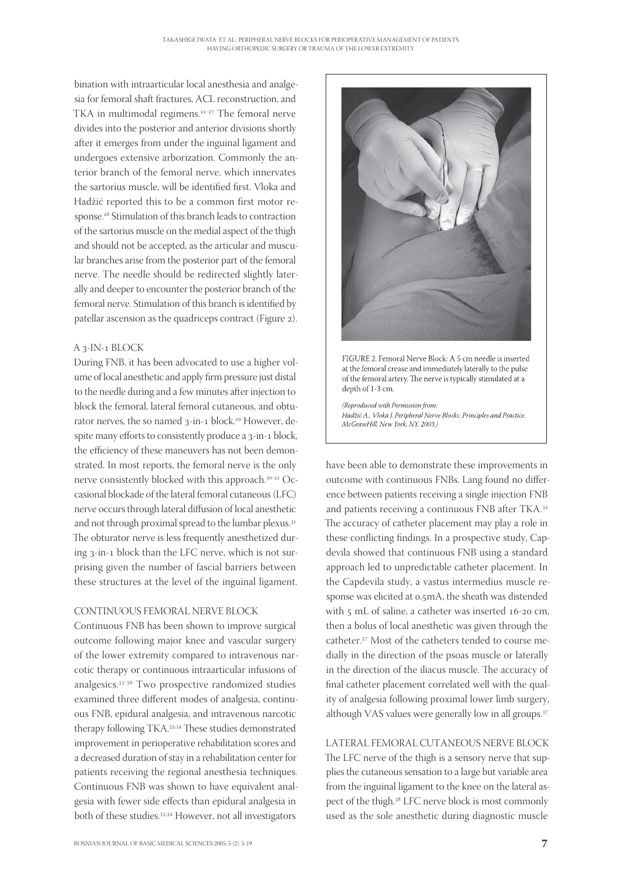bination with intraarticular local anesthesia and analgesia for femoral shaft fractures, ACL reconstruction, and TKA in multimodal regimens.<sup>21-27</sup> The femoral nerve divides into the posterior and anterior divisions shortly after it emerges from under the inguinal ligament and undergoes extensive arborization. Commonly the anterior branch of the femoral nerve, which innervates the sartorius muscle, will be identified first. Vloka and Hadžić reported this to be a common first motor response.<sup>28</sup> Stimulation of this branch leads to contraction of the sartorius muscle on the medial aspect of the thigh and should not be accepted, as the articular and muscular branches arise from the posterior part of the femoral nerve. The needle should be redirected slightly laterally and deeper to encounter the posterior branch of the femoral nerve. Stimulation of this branch is identified by patellar ascension as the quadriceps contract (Figure 2).

#### A 3-IN-1 BLOCK

During FNB, it has been advocated to use a higher volume of local anesthetic and apply firm pressure just distal to the needle during and a few minutes after injection to block the femoral, lateral femoral cutaneous, and obturator nerves, the so named 3-in-1 block.<sup>29</sup> However, despite many efforts to consistently produce a 3-in-1 block, the efficiency of these maneuvers has not been demonstrated. In most reports, the femoral nerve is the only nerve consistently blocked with this approach.<sup>30-32</sup> Occasional blockade of the lateral femoral cutaneous (LFC) nerve occurs through lateral diffusion of local anesthetic and not through proximal spread to the lumbar plexus. The obturator nerve is less frequently anesthetized during 3-in-1 block than the LFC nerve, which is not surprising given the number of fascial barriers between these structures at the level of the inguinal ligament.

#### CONTINUOUS FEMORAL NERVE BLOCK

Continuous FNB has been shown to improve surgical outcome following major knee and vascular surgery of the lower extremity compared to intravenous narcotic therapy or continuous intraarticular infusions of analgesics.<sup>33-36</sup> Two prospective randomized studies examined three different modes of analgesia, continuous FNB, epidural analgesia, and intravenous narcotic therapy following TKA.<sup>33,34</sup> These studies demonstrated improvement in perioperative rehabilitation scores and a decreased duration of stay in a rehabilitation center for patients receiving the regional anesthesia techniques. Continuous FNB was shown to have equivalent analgesia with fewer side effects than epidural analgesia in both of these studies.<sup>33,34</sup> However, not all investigators





(Reproduced with Permission from: Hadžić A., Vloka J. Peripheral Nerve Blocks: Principles and Practice. McGrawHill, New York, NY, 2003.)

have been able to demonstrate these improvements in outcome with continuous FNBs. Lang found no difference between patients receiving a single injection FNB and patients receiving a continuous FNB after TKA. The accuracy of catheter placement may play a role in these conflicting findings. In a prospective study, Capdevila showed that continuous FNB using a standard approach led to unpredictable catheter placement. In the Capdevila study, a vastus intermedius muscle response was elicited at 0.5mA, the sheath was distended with  $\zeta$  mL of saline, a catheter was inserted  $16$ -20 cm, then a bolus of local anesthetic was given through the catheter.<sup>37</sup> Most of the catheters tended to course medially in the direction of the psoas muscle or laterally in the direction of the iliacus muscle. The accuracy of final catheter placement correlated well with the quality of analgesia following proximal lower limb surgery, although VAS values were generally low in all groups.

# LATERAL FEMORAL CUTANEOUS NERVE BLOCK

The LFC nerve of the thigh is a sensory nerve that supplies the cutaneous sensation to a large but variable area from the inguinal ligament to the knee on the lateral aspect of the thigh.<sup>38</sup> LFC nerve block is most commonly used as the sole anesthetic during diagnostic muscle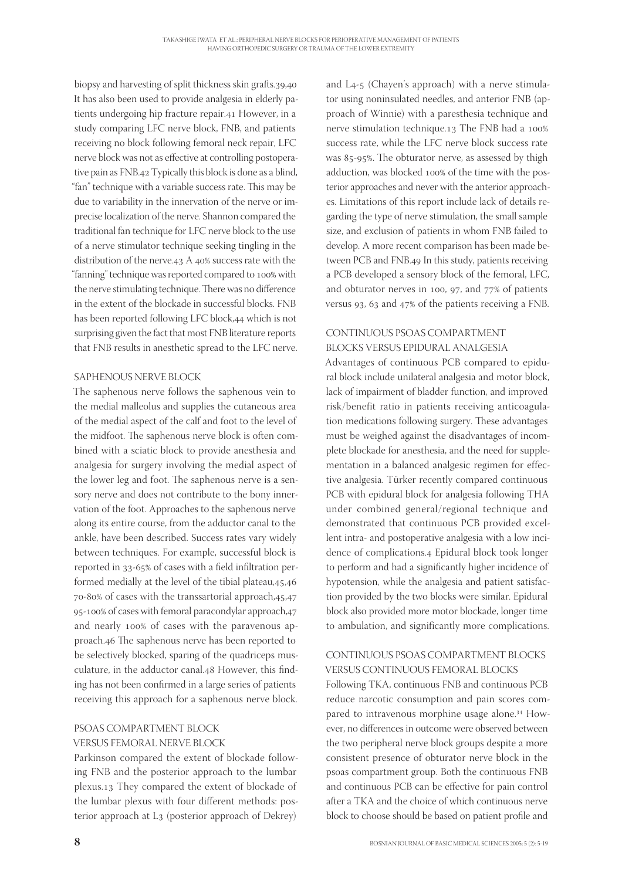biopsy and harvesting of split thickness skin grafts.39,40 It has also been used to provide analgesia in elderly patients undergoing hip fracture repair.41 However, in a study comparing LFC nerve block, FNB, and patients receiving no block following femoral neck repair, LFC nerve block was not as effective at controlling postoperative pain as FNB.42 Typically this block is done as a blind, "fan" technique with a variable success rate. This may be due to variability in the innervation of the nerve or imprecise localization of the nerve. Shannon compared the traditional fan technique for LFC nerve block to the use of a nerve stimulator technique seeking tingling in the distribution of the nerve.  $43$  A  $40\%$  success rate with the "fanning" technique was reported compared to 100% with the nerve stimulating technique. There was no difference in the extent of the blockade in successful blocks. FNB has been reported following LFC block, 44 which is not surprising given the fact that most FNB literature reports that FNB results in anesthetic spread to the LFC nerve.

#### SAPHENOUS NERVE BLOCK

The saphenous nerve follows the saphenous vein to the medial malleolus and supplies the cutaneous area of the medial aspect of the calf and foot to the level of the midfoot. The saphenous nerve block is often combined with a sciatic block to provide anesthesia and analgesia for surgery involving the medial aspect of the lower leg and foot. The saphenous nerve is a sensory nerve and does not contribute to the bony innervation of the foot. Approaches to the saphenous nerve along its entire course, from the adductor canal to the ankle, have been described. Success rates vary widely between techniques. For example, successful block is reported in 33-65% of cases with a field infiltration performed medially at the level of the tibial plateau,45,46  $70-80\%$  of cases with the transsartorial approach,  $45,47$ 95-100% of cases with femoral paracondylar approach,47 and nearly 100% of cases with the paravenous approach.46 The saphenous nerve has been reported to be selectively blocked, sparing of the quadriceps musculature, in the adductor canal.48 However, this finding has not been confirmed in a large series of patients receiving this approach for a saphenous nerve block.

### PSOAS COMPARTMENT BLOCK VERSUS FEMORAL NERVE BLOCK

Parkinson compared the extent of blockade following FNB and the posterior approach to the lumbar plexus.13 They compared the extent of blockade of the lumbar plexus with four different methods: posterior approach at L<sub>3</sub> (posterior approach of Dekrey) and  $L_{4-5}$  (Chayen's approach) with a nerve stimulator using noninsulated needles, and anterior FNB (approach of Winnie) with a paresthesia technique and nerve stimulation technique. 13 The FNB had a 100% success rate, while the LFC nerve block success rate was 85-95%. The obturator nerve, as assessed by thigh adduction, was blocked 100% of the time with the posterior approaches and never with the anterior approaches. Limitations of this report include lack of details regarding the type of nerve stimulation, the small sample size, and exclusion of patients in whom FNB failed to develop. A more recent comparison has been made between PCB and FNB.49 In this study, patients receiving a PCB developed a sensory block of the femoral, LFC, and obturator nerves in 100, 97, and  $77\%$  of patients versus 93, 63 and  $47%$  of the patients receiving a FNB.

# CONTINUOUS PSOAS COMPARTMENT BLOCKS VERSUS EPIDURAL ANALGESIA

Advantages of continuous PCB compared to epidural block include unilateral analgesia and motor block, lack of impairment of bladder function, and improved risk/benefit ratio in patients receiving anticoagulation medications following surgery. These advantages must be weighed against the disadvantages of incomplete blockade for anesthesia, and the need for supplementation in a balanced analgesic regimen for effective analgesia. Türker recently compared continuous PCB with epidural block for analgesia following THA under combined general/regional technique and demonstrated that continuous PCB provided excellent intra- and postoperative analgesia with a low incidence of complications.4 Epidural block took longer to perform and had a significantly higher incidence of hypotension, while the analgesia and patient satisfaction provided by the two blocks were similar. Epidural block also provided more motor blockade, longer time to ambulation, and significantly more complications.

## CONTINUOUS PSOAS COMPARTMENT BLOCKS VERSUS CONTINUOUS FEMORAL BLOCKS

Following TKA, continuous FNB and continuous PCB reduce narcotic consumption and pain scores compared to intravenous morphine usage alone.<sup>34</sup> However, no differences in outcome were observed between the two peripheral nerve block groups despite a more consistent presence of obturator nerve block in the psoas compartment group. Both the continuous FNB and continuous PCB can be effective for pain control after a TKA and the choice of which continuous nerve block to choose should be based on patient profile and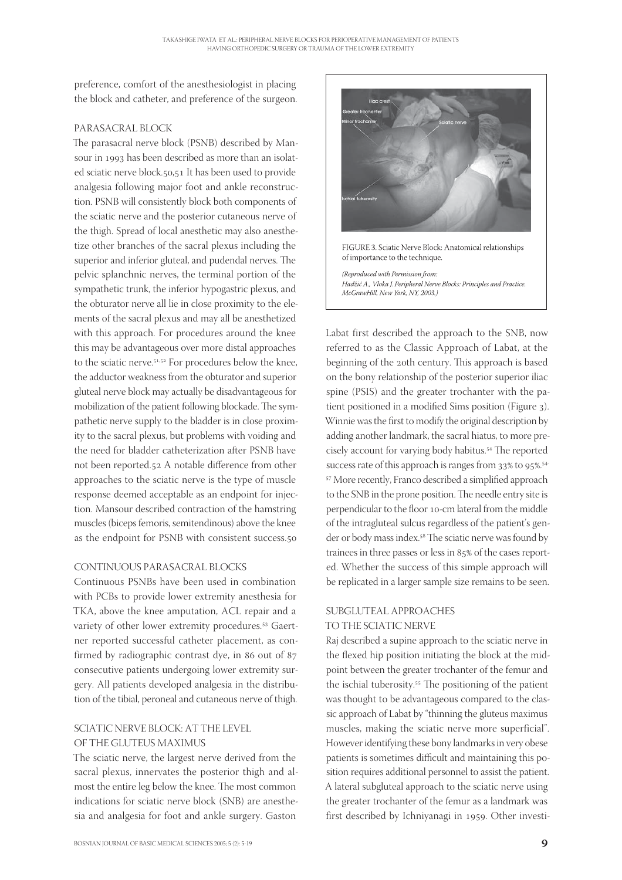preference, comfort of the anesthesiologist in placing the block and catheter, and preference of the surgeon.

#### PARASACRAL BLOCK

The parasacral nerve block (PSNB) described by Mansour in 1993 has been described as more than an isolated sciatic nerve block.50,51 It has been used to provide analgesia following major foot and ankle reconstruction. PSNB will consistently block both components of the sciatic nerve and the posterior cutaneous nerve of the thigh. Spread of local anesthetic may also anesthetize other branches of the sacral plexus including the superior and inferior gluteal, and pudendal nerves. The pelvic splanchnic nerves, the terminal portion of the sympathetic trunk, the inferior hypogastric plexus, and the obturator nerve all lie in close proximity to the elements of the sacral plexus and may all be anesthetized with this approach. For procedures around the knee this may be advantageous over more distal approaches to the sciatic nerve.<sup>51,52</sup> For procedures below the knee, the adductor weakness from the obturator and superior gluteal nerve block may actually be disadvantageous for mobilization of the patient following blockade. The sympathetic nerve supply to the bladder is in close proximity to the sacral plexus, but problems with voiding and the need for bladder catheterization after PSNB have not been reported.52 A notable difference from other approaches to the sciatic nerve is the type of muscle response deemed acceptable as an endpoint for injection. Mansour described contraction of the hamstring muscles (biceps femoris, semitendinous) above the knee as the endpoint for PSNB with consistent success.

### CONTINUOUS PARASACRAL BLOCKS

Continuous PSNBs have been used in combination with PCBs to provide lower extremity anesthesia for TKA, above the knee amputation, ACL repair and a variety of other lower extremity procedures.<sup>53</sup> Gaertner reported successful catheter placement, as confirmed by radiographic contrast dye, in 86 out of  $87$ consecutive patients undergoing lower extremity surgery. All patients developed analgesia in the distribution of the tibial, peroneal and cutaneous nerve of thigh.

#### SCIATIC NERVE BLOCK: AT THE LEVEL OF THE GLUTEUS MAXIMUS

The sciatic nerve, the largest nerve derived from the sacral plexus, innervates the posterior thigh and almost the entire leg below the knee. The most common indications for sciatic nerve block (SNB) are anesthesia and analgesia for foot and ankle surgery. Gaston





(Reproduced with Permission from: Hadžić A., Vloka J. Peripheral Nerve Blocks: Principles and Practice. McGrawHill, New York, NY, 2003.)

Labat first described the approach to the SNB, now referred to as the Classic Approach of Labat, at the beginning of the 20th century. This approach is based on the bony relationship of the posterior superior iliac spine (PSIS) and the greater trochanter with the patient positioned in a modified Sims position (Figure 3). Winnie was the first to modify the original description by adding another landmark, the sacral hiatus, to more precisely account for varying body habitus.<sup>54</sup> The reported success rate of this approach is ranges from  $33\%$  to  $95\%$ .<sup>54-</sup> <sup>57</sup> More recently, Franco described a simplified approach to the SNB in the prone position. The needle entry site is perpendicular to the floor 10-cm lateral from the middle of the intragluteal sulcus regardless of the patient's gender or body mass index.<sup>58</sup> The sciatic nerve was found by trainees in three passes or less in 85% of the cases reported. Whether the success of this simple approach will be replicated in a larger sample size remains to be seen.

#### SUBGLUTEAL APPROACHES TO THE SCIATIC NERVE

Raj described a supine approach to the sciatic nerve in the flexed hip position initiating the block at the midpoint between the greater trochanter of the femur and the ischial tuberosity.<sup>55</sup> The positioning of the patient was thought to be advantageous compared to the classic approach of Labat by "thinning the gluteus maximus muscles, making the sciatic nerve more superficial". However identifying these bony landmarks in very obese patients is sometimes difficult and maintaining this position requires additional personnel to assist the patient. A lateral subgluteal approach to the sciatic nerve using the greater trochanter of the femur as a landmark was first described by Ichniyanagi in 1959. Other investi-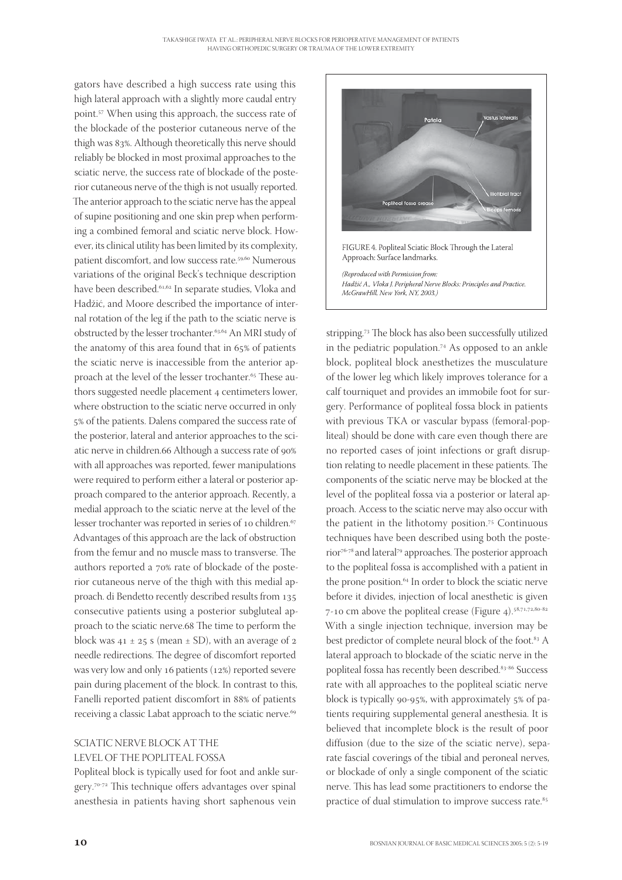gators have described a high success rate using this high lateral approach with a slightly more caudal entry point.<sup>57</sup> When using this approach, the success rate of the blockade of the posterior cutaneous nerve of the thigh was 83%. Although theoretically this nerve should reliably be blocked in most proximal approaches to the sciatic nerve, the success rate of blockade of the posterior cutaneous nerve of the thigh is not usually reported. The anterior approach to the sciatic nerve has the appeal of supine positioning and one skin prep when performing a combined femoral and sciatic nerve block. However, its clinical utility has been limited by its complexity, patient discomfort, and low success rate.<sup>59,60</sup> Numerous variations of the original Beck's technique description have been described.<sup>61,62</sup> In separate studies, Vloka and Hadžić, and Moore described the importance of internal rotation of the leg if the path to the sciatic nerve is obstructed by the lesser trochanter.<sup>63,64</sup> An MRI study of the anatomy of this area found that in  $65\%$  of patients the sciatic nerve is inaccessible from the anterior approach at the level of the lesser trochanter.<sup>65</sup> These authors suggested needle placement 4 centimeters lower, where obstruction to the sciatic nerve occurred in only 5% of the patients. Dalens compared the success rate of the posterior, lateral and anterior approaches to the sciatic nerve in children. 66 Although a success rate of 90% with all approaches was reported, fewer manipulations were required to perform either a lateral or posterior approach compared to the anterior approach. Recently, a medial approach to the sciatic nerve at the level of the lesser trochanter was reported in series of 10 children.<sup>67</sup> Advantages of this approach are the lack of obstruction from the femur and no muscle mass to transverse. The authors reported a 70% rate of blockade of the posterior cutaneous nerve of the thigh with this medial approach. di Bendetto recently described results from consecutive patients using a posterior subgluteal approach to the sciatic nerve. 68 The time to perform the block was  $41 \pm 25$  s (mean  $\pm$  SD), with an average of 2 needle redirections. The degree of discomfort reported was very low and only 16 patients ( $12\%$ ) reported severe pain during placement of the block. In contrast to this, Fanelli reported patient discomfort in 88% of patients receiving a classic Labat approach to the sciatic nerve.

#### SCIATIC NERVE BLOCK AT THE LEVEL OF THE POPLITEAL FOSSA

Popliteal block is typically used for foot and ankle surgery.<sup>70-72</sup> This technique offers advantages over spinal anesthesia in patients having short saphenous vein



stripping.<sup>73</sup> The block has also been successfully utilized in the pediatric population.<sup>74</sup> As opposed to an ankle block, popliteal block anesthetizes the musculature of the lower leg which likely improves tolerance for a calf tourniquet and provides an immobile foot for surgery. Performance of popliteal fossa block in patients with previous TKA or vascular bypass (femoral-popliteal) should be done with care even though there are no reported cases of joint infections or graft disruption relating to needle placement in these patients. The components of the sciatic nerve may be blocked at the level of the popliteal fossa via a posterior or lateral approach. Access to the sciatic nerve may also occur with the patient in the lithotomy position.<sup>75</sup> Continuous techniques have been described using both the posterior<sup>76-78</sup> and lateral<sup>79</sup> approaches. The posterior approach to the popliteal fossa is accomplished with a patient in the prone position.<sup>64</sup> In order to block the sciatic nerve before it divides, injection of local anesthetic is given 7-10 cm above the popliteal crease (Figure 4). $58,71,72,80-82$ With a single injection technique, inversion may be best predictor of complete neural block of the foot.<sup>83</sup> A lateral approach to blockade of the sciatic nerve in the popliteal fossa has recently been described.<sup>83-86</sup> Success rate with all approaches to the popliteal sciatic nerve block is typically 90-95%, with approximately  $5\%$  of patients requiring supplemental general anesthesia. It is believed that incomplete block is the result of poor diffusion (due to the size of the sciatic nerve), separate fascial coverings of the tibial and peroneal nerves, or blockade of only a single component of the sciatic nerve. This has lead some practitioners to endorse the practice of dual stimulation to improve success rate.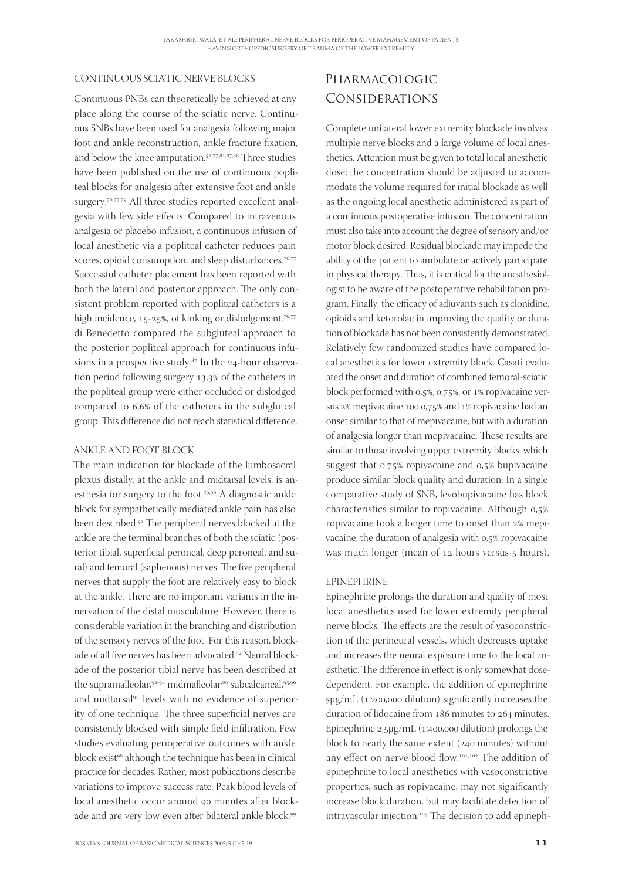#### CONTINUOUS SCIATIC NERVE BLOCKS

Continuous PNBs can theoretically be achieved at any place along the course of the sciatic nerve. Continuous SNBs have been used for analgesia following major foot and ankle reconstruction, ankle fracture fixation, and below the knee amputation.<sup>52,77,81,87,88</sup> Three studies have been published on the use of continuous popliteal blocks for analgesia after extensive foot and ankle surgery.<sup>76,77,79</sup> All three studies reported excellent analgesia with few side effects. Compared to intravenous analgesia or placebo infusion, a continuous infusion of local anesthetic via a popliteal catheter reduces pain scores, opioid consumption, and sleep disturbances.<sup>76,77</sup> Successful catheter placement has been reported with both the lateral and posterior approach. The only consistent problem reported with popliteal catheters is a high incidence, 15-25%, of kinking or dislodgement.<sup>76,77</sup> di Benedetto compared the subgluteal approach to the posterior popliteal approach for continuous infusions in a prospective study. $87$  In the 24-hour observation period following surgery 13,3% of the catheters in the popliteal group were either occluded or dislodged compared to 6,6% of the catheters in the subgluteal group. This difference did not reach statistical difference.

#### ANKLE AND FOOT BLOCK

The main indication for blockade of the lumbosacral plexus distally, at the ankle and midtarsal levels, is anesthesia for surgery to the foot.<sup>89,90</sup> A diagnostic ankle block for sympathetically mediated ankle pain has also been described.<sup>91</sup> The peripheral nerves blocked at the ankle are the terminal branches of both the sciatic (posterior tibial, superficial peroneal, deep peroneal, and sural) and femoral (saphenous) nerves. The five peripheral nerves that supply the foot are relatively easy to block at the ankle. There are no important variants in the innervation of the distal musculature. However, there is considerable variation in the branching and distribution of the sensory nerves of the foot. For this reason, blockade of all five nerves has been advocated.<sup>92</sup> Neural blockade of the posterior tibial nerve has been described at the supramalleolar,<sup>92-94</sup> midmalleolar<sup>,89</sup> subcalcaneal,<sup>95,96</sup> and midtarsal<sup>97</sup> levels with no evidence of superiority of one technique. The three superficial nerves are consistently blocked with simple field infiltration. Few studies evaluating perioperative outcomes with ankle block exist<sup>98</sup> although the technique has been in clinical practice for decades. Rather, most publications describe variations to improve success rate. Peak blood levels of local anesthetic occur around 90 minutes after blockade and are very low even after bilateral ankle block.

# Pharmacologic Considerations

Complete unilateral lower extremity blockade involves multiple nerve blocks and a large volume of local anesthetics. Attention must be given to total local anesthetic dose; the concentration should be adjusted to accommodate the volume required for initial blockade as well as the ongoing local anesthetic administered as part of a continuous postoperative infusion. The concentration must also take into account the degree of sensory and/or motor block desired. Residual blockade may impede the ability of the patient to ambulate or actively participate in physical therapy. Thus, it is critical for the anesthesiologist to be aware of the postoperative rehabilitation program. Finally, the efficacy of adjuvants such as clonidine, opioids and ketorolac in improving the quality or duration of blockade has not been consistently demonstrated. Relatively few randomized studies have compared local anesthetics for lower extremity block. Casati evaluated the onset and duration of combined femoral-sciatic block performed with  $0.5\%$ ,  $0.75\%$ , or  $1\%$  ropivacaine versus 2% mepivacaine. 100 0,75% and 1% ropivacaine had an onset similar to that of mepivacaine, but with a duration of analgesia longer than mepivacaine. These results are similar to those involving upper extremity blocks, which suggest that  $0.75\%$  ropivacaine and  $0.5\%$  bupivacaine produce similar block quality and duration. In a single comparative study of SNB, levobupivacaine has block characteristics similar to ropivacaine. Although 0,5% ropivacaine took a longer time to onset than 2% mepivacaine, the duration of analgesia with 0,5% ropivacaine was much longer (mean of 12 hours versus 5 hours).

#### EPINEPHRINE

Epinephrine prolongs the duration and quality of most local anesthetics used for lower extremity peripheral nerve blocks. The effects are the result of vasoconstriction of the perineural vessels, which decreases uptake and increases the neural exposure time to the local anesthetic. The difference in effect is only somewhat dosedependent. For example, the addition of epinephrine 5μg/mL (1:200,000 dilution) significantly increases the duration of lidocaine from 186 minutes to 264 minutes. Epinephrine  $2,5\mu g/mL$  (1:400,000 dilution) prolongs the block to nearly the same extent  $(240 \text{ minutes})$  without any effect on nerve blood flow.<sup>101,102</sup> The addition of epinephrine to local anesthetics with vasoconstrictive properties, such as ropivacaine, may not significantly increase block duration, but may facilitate detection of intravascular injection.<sup>103</sup> The decision to add epineph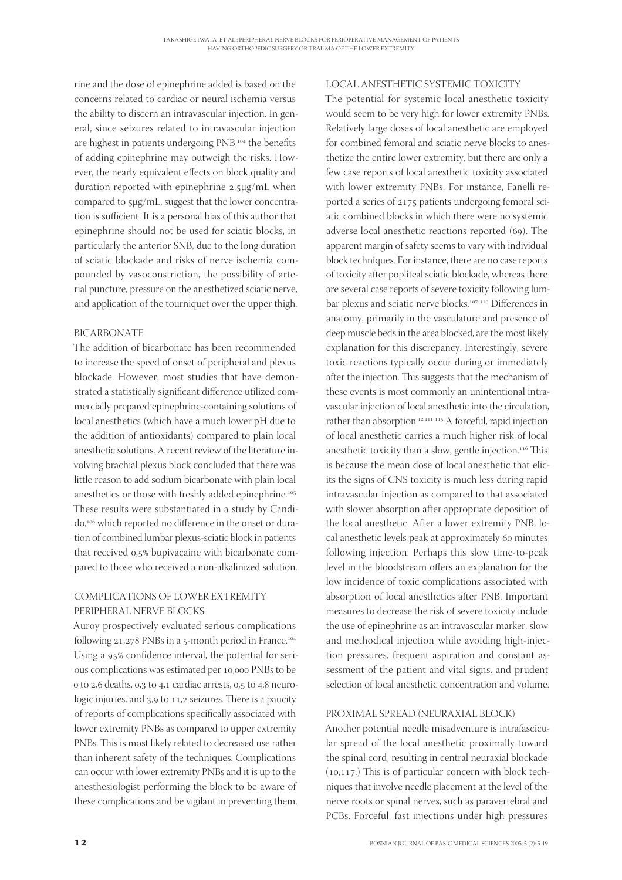rine and the dose of epinephrine added is based on the concerns related to cardiac or neural ischemia versus the ability to discern an intravascular injection. In general, since seizures related to intravascular injection are highest in patients undergoing PNB,<sup>104</sup> the benefits of adding epinephrine may outweigh the risks. However, the nearly equivalent effects on block quality and duration reported with epinephrine  $2,5\mu$ g/mL when compared to μg/mL, suggest that the lower concentration is sufficient. It is a personal bias of this author that epinephrine should not be used for sciatic blocks, in particularly the anterior SNB, due to the long duration of sciatic blockade and risks of nerve ischemia compounded by vasoconstriction, the possibility of arterial puncture, pressure on the anesthetized sciatic nerve, and application of the tourniquet over the upper thigh.

#### BICARBONATE

The addition of bicarbonate has been recommended to increase the speed of onset of peripheral and plexus blockade. However, most studies that have demonstrated a statistically significant difference utilized commercially prepared epinephrine-containing solutions of local anesthetics (which have a much lower pH due to the addition of antioxidants) compared to plain local anesthetic solutions. A recent review of the literature involving brachial plexus block concluded that there was little reason to add sodium bicarbonate with plain local anesthetics or those with freshly added epinephrine. These results were substantiated in a study by Candido,<sup>106</sup> which reported no difference in the onset or duration of combined lumbar plexus-sciatic block in patients that received 0,5% bupivacaine with bicarbonate compared to those who received a non-alkalinized solution.

#### COMPLICATIONS OF LOWER EXTREMITY PERIPHERAL NERVE BLOCKS

Auroy prospectively evaluated serious complications following 21,278 PNBs in a 5-month period in France.<sup>104</sup> Using a 95% confidence interval, the potential for serious complications was estimated per 10,000 PNBs to be o to 2,6 deaths, 0,3 to 4,1 cardiac arrests, 0,5 to 4,8 neurologic injuries, and 3,9 to 11,2 seizures. There is a paucity of reports of complications specifically associated with lower extremity PNBs as compared to upper extremity PNBs. This is most likely related to decreased use rather than inherent safety of the techniques. Complications can occur with lower extremity PNBs and it is up to the anesthesiologist performing the block to be aware of these complications and be vigilant in preventing them.

#### LOCAL ANESTHETIC SYSTEMIC TOXICITY

The potential for systemic local anesthetic toxicity would seem to be very high for lower extremity PNBs. Relatively large doses of local anesthetic are employed for combined femoral and sciatic nerve blocks to anesthetize the entire lower extremity, but there are only a few case reports of local anesthetic toxicity associated with lower extremity PNBs. For instance, Fanelli reported a series of 2175 patients undergoing femoral sciatic combined blocks in which there were no systemic adverse local anesthetic reactions reported (69). The apparent margin of safety seems to vary with individual block techniques. For instance, there are no case reports of toxicity after popliteal sciatic blockade, whereas there are several case reports of severe toxicity following lumbar plexus and sciatic nerve blocks.<sup>107-110</sup> Differences in anatomy, primarily in the vasculature and presence of deep muscle beds in the area blocked, are the most likely explanation for this discrepancy. Interestingly, severe toxic reactions typically occur during or immediately after the injection. This suggests that the mechanism of these events is most commonly an unintentional intravascular injection of local anesthetic into the circulation, rather than absorption.<sup>12,111-115</sup> A forceful, rapid injection of local anesthetic carries a much higher risk of local anesthetic toxicity than a slow, gentle injection.<sup>116</sup> This is because the mean dose of local anesthetic that elicits the signs of CNS toxicity is much less during rapid intravascular injection as compared to that associated with slower absorption after appropriate deposition of the local anesthetic. After a lower extremity PNB, local anesthetic levels peak at approximately 60 minutes following injection. Perhaps this slow time-to-peak level in the bloodstream offers an explanation for the low incidence of toxic complications associated with absorption of local anesthetics after PNB. Important measures to decrease the risk of severe toxicity include the use of epinephrine as an intravascular marker, slow and methodical injection while avoiding high-injection pressures, frequent aspiration and constant assessment of the patient and vital signs, and prudent selection of local anesthetic concentration and volume.

#### PROXIMAL SPREAD (NEURAXIAL BLOCK)

Another potential needle misadventure is intrafascicular spread of the local anesthetic proximally toward the spinal cord, resulting in central neuraxial blockade  $(10, 117)$ . This is of particular concern with block techniques that involve needle placement at the level of the nerve roots or spinal nerves, such as paravertebral and PCBs. Forceful, fast injections under high pressures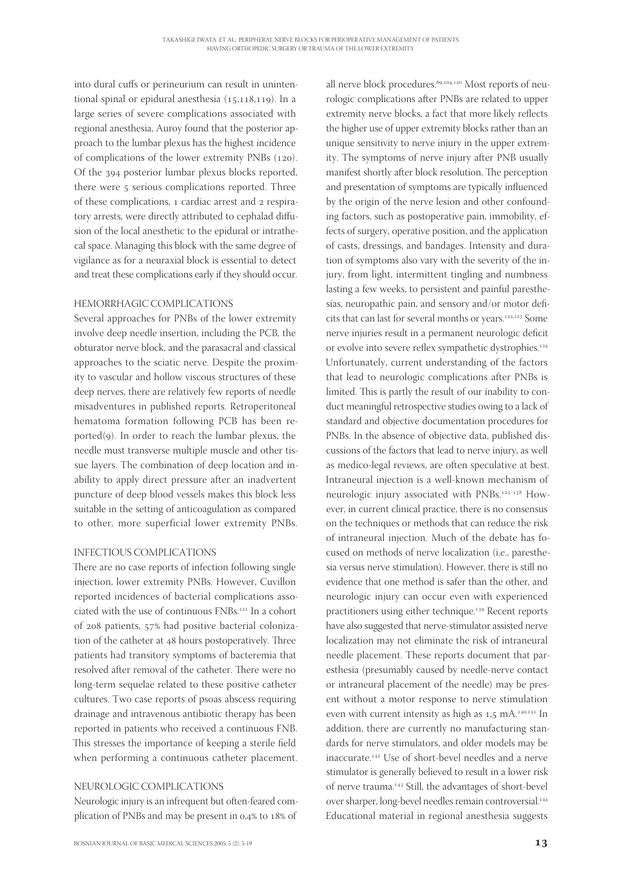into dural cuffs or perineurium can result in unintentional spinal or epidural anesthesia  $(15,118,119)$ . In a large series of severe complications associated with regional anesthesia, Auroy found that the posterior approach to the lumbar plexus has the highest incidence of complications of the lower extremity PNBs (120). Of the 394 posterior lumbar plexus blocks reported, there were 5 serious complications reported. Three of these complications, 1 cardiac arrest and 2 respiratory arrests, were directly attributed to cephalad diffusion of the local anesthetic to the epidural or intrathecal space. Managing this block with the same degree of vigilance as for a neuraxial block is essential to detect and treat these complications early if they should occur.

#### HEMORRHAGIC COMPLICATIONS

Several approaches for PNBs of the lower extremity involve deep needle insertion, including the PCB, the obturator nerve block, and the parasacral and classical approaches to the sciatic nerve. Despite the proximity to vascular and hollow viscous structures of these deep nerves, there are relatively few reports of needle misadventures in published reports. Retroperitoneal hematoma formation following PCB has been reported $(g)$ . In order to reach the lumbar plexus, the needle must transverse multiple muscle and other tissue layers. The combination of deep location and inability to apply direct pressure after an inadvertent puncture of deep blood vessels makes this block less suitable in the setting of anticoagulation as compared to other, more superficial lower extremity PNBs.

#### INFECTIOUS COMPLICATIONS

There are no case reports of infection following single injection, lower extremity PNBs. However, Cuvillon reported incidences of bacterial complications associated with the use of continuous FNBs.<sup>121</sup> In a cohort of 208 patients, 57% had positive bacterial colonization of the catheter at 48 hours postoperatively. Three patients had transitory symptoms of bacteremia that resolved after removal of the catheter. There were no long-term sequelae related to these positive catheter cultures. Two case reports of psoas abscess requiring drainage and intravenous antibiotic therapy has been reported in patients who received a continuous FNB. This stresses the importance of keeping a sterile field when performing a continuous catheter placement.

#### NEUROLOGIC COMPLICATIONS

Neurologic injury is an infrequent but often-feared complication of PNBs and may be present in 0,4% to 18% of

all nerve block procedures.<sup>69,104,120</sup> Most reports of neurologic complications after PNBs are related to upper extremity nerve blocks, a fact that more likely reflects the higher use of upper extremity blocks rather than an unique sensitivity to nerve injury in the upper extremity. The symptoms of nerve injury after PNB usually manifest shortly after block resolution. The perception and presentation of symptoms are typically influenced by the origin of the nerve lesion and other confounding factors, such as postoperative pain, immobility, effects of surgery, operative position, and the application of casts, dressings, and bandages. Intensity and duration of symptoms also vary with the severity of the injury, from light, intermittent tingling and numbness lasting a few weeks, to persistent and painful paresthesias, neuropathic pain, and sensory and/or motor deficits that can last for several months or years.<sup>122,123</sup> Some nerve injuries result in a permanent neurologic deficit or evolve into severe reflex sympathetic dystrophies.<sup>124</sup> Unfortunately, current understanding of the factors that lead to neurologic complications after PNBs is limited. This is partly the result of our inability to conduct meaningful retrospective studies owing to a lack of standard and objective documentation procedures for PNBs. In the absence of objective data, published discussions of the factors that lead to nerve injury, as well as medico-legal reviews, are often speculative at best. Intraneural injection is a well-known mechanism of neurologic injury associated with PNBs.<sup>125-138</sup> However, in current clinical practice, there is no consensus on the techniques or methods that can reduce the risk of intraneural injection. Much of the debate has focused on methods of nerve localization (i.e., paresthesia versus nerve stimulation). However, there is still no evidence that one method is safer than the other, and neurologic injury can occur even with experienced practitioners using either technique.<sup>139</sup> Recent reports have also suggested that nerve-stimulator assisted nerve localization may not eliminate the risk of intraneural needle placement. These reports document that paresthesia (presumably caused by needle-nerve contact or intraneural placement of the needle) may be present without a motor response to nerve stimulation even with current intensity as high as 1,5 mA.<sup>140,141</sup> In addition, there are currently no manufacturing standards for nerve stimulators, and older models may be inaccurate.<sup>142</sup> Use of short-bevel needles and a nerve stimulator is generally believed to result in a lower risk of nerve trauma.<sup>143</sup> Still, the advantages of short-bevel over sharper, long-bevel needles remain controversial. Educational material in regional anesthesia suggests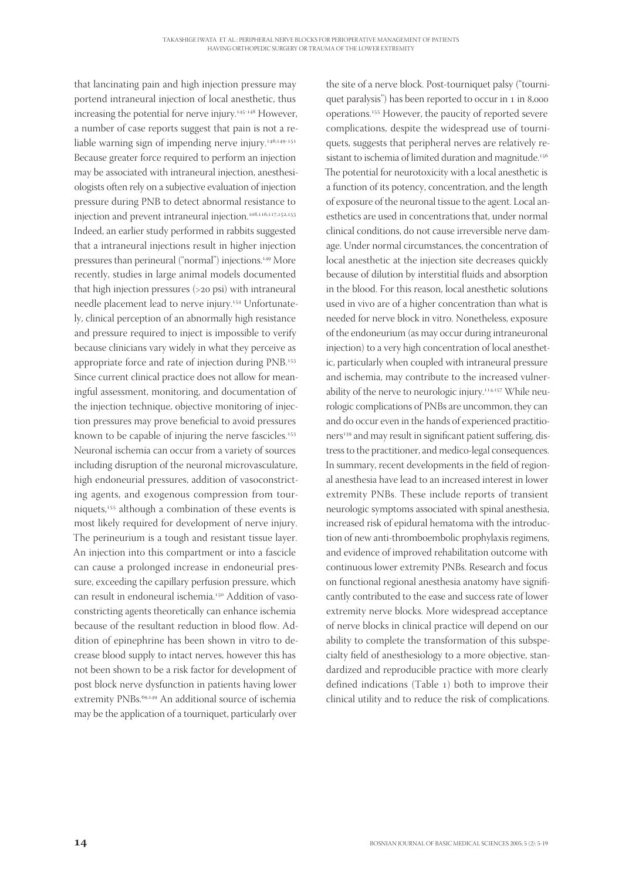that lancinating pain and high injection pressure may portend intraneural injection of local anesthetic, thus increasing the potential for nerve injury.<sup>145-148</sup> However, a number of case reports suggest that pain is not a reliable warning sign of impending nerve injury.<sup>146,149-151</sup> Because greater force required to perform an injection may be associated with intraneural injection, anesthesiologists often rely on a subjective evaluation of injection pressure during PNB to detect abnormal resistance to injection and prevent intraneural injection.<sup>108,116,117,152,153</sup> Indeed, an earlier study performed in rabbits suggested that a intraneural injections result in higher injection pressures than perineural ("normal") injections.<sup>149</sup> More recently, studies in large animal models documented that high injection pressures  $(>$ 20 psi) with intraneural needle placement lead to nerve injury.<sup>154</sup> Unfortunately, clinical perception of an abnormally high resistance and pressure required to inject is impossible to verify because clinicians vary widely in what they perceive as appropriate force and rate of injection during PNB. Since current clinical practice does not allow for meaningful assessment, monitoring, and documentation of the injection technique, objective monitoring of injection pressures may prove beneficial to avoid pressures known to be capable of injuring the nerve fascicles. Neuronal ischemia can occur from a variety of sources including disruption of the neuronal microvasculature, high endoneurial pressures, addition of vasoconstricting agents, and exogenous compression from tourniquets,<sup>155</sup> although a combination of these events is most likely required for development of nerve injury. The perineurium is a tough and resistant tissue layer. An injection into this compartment or into a fascicle can cause a prolonged increase in endoneurial pressure, exceeding the capillary perfusion pressure, which can result in endoneural ischemia.<sup>150</sup> Addition of vasoconstricting agents theoretically can enhance ischemia because of the resultant reduction in blood flow. Addition of epinephrine has been shown in vitro to decrease blood supply to intact nerves, however this has not been shown to be a risk factor for development of post block nerve dysfunction in patients having lower extremity PNBs.<sup>69,149</sup> An additional source of ischemia may be the application of a tourniquet, particularly over

the site of a nerve block. Post-tourniquet palsy ("tourniquet paralysis") has been reported to occur in 1 in 8,000 operations.<sup>155</sup> However, the paucity of reported severe complications, despite the widespread use of tourniquets, suggests that peripheral nerves are relatively resistant to ischemia of limited duration and magnitude.<sup>156</sup> The potential for neurotoxicity with a local anesthetic is a function of its potency, concentration, and the length of exposure of the neuronal tissue to the agent. Local anesthetics are used in concentrations that, under normal clinical conditions, do not cause irreversible nerve damage. Under normal circumstances, the concentration of local anesthetic at the injection site decreases quickly because of dilution by interstitial fluids and absorption in the blood. For this reason, local anesthetic solutions used in vivo are of a higher concentration than what is needed for nerve block in vitro. Nonetheless, exposure of the endoneurium (as may occur during intraneuronal injection) to a very high concentration of local anesthetic, particularly when coupled with intraneural pressure and ischemia, may contribute to the increased vulnerability of the nerve to neurologic injury.<sup>114,157</sup> While neurologic complications of PNBs are uncommon, they can and do occur even in the hands of experienced practitioners<sup>139</sup> and may result in significant patient suffering, distress to the practitioner, and medico-legal consequences. In summary, recent developments in the field of regional anesthesia have lead to an increased interest in lower extremity PNBs. These include reports of transient neurologic symptoms associated with spinal anesthesia, increased risk of epidural hematoma with the introduction of new anti-thromboembolic prophylaxis regimens, and evidence of improved rehabilitation outcome with continuous lower extremity PNBs. Research and focus on functional regional anesthesia anatomy have significantly contributed to the ease and success rate of lower extremity nerve blocks. More widespread acceptance of nerve blocks in clinical practice will depend on our ability to complete the transformation of this subspecialty field of anesthesiology to a more objective, standardized and reproducible practice with more clearly defined indications (Table 1) both to improve their clinical utility and to reduce the risk of complications.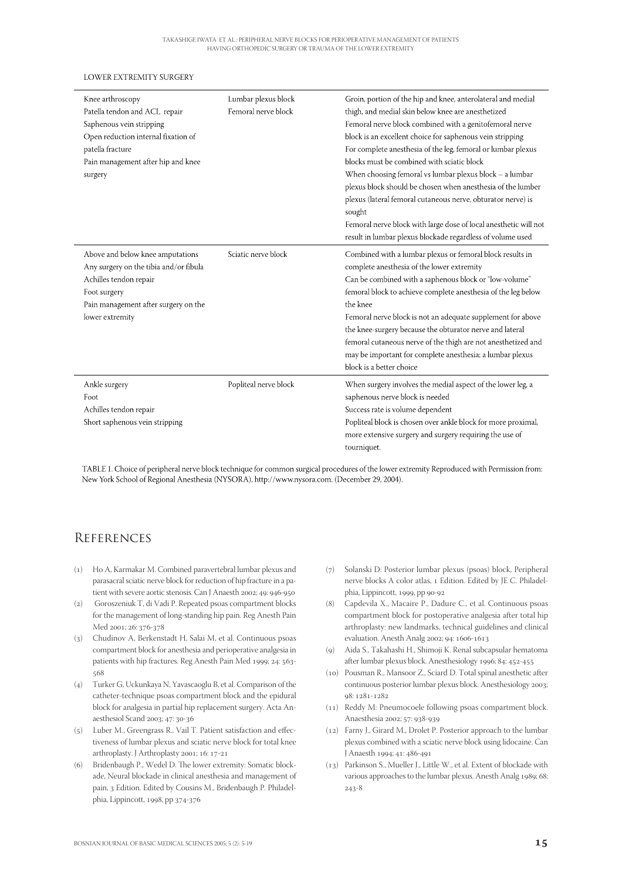#### **LOWER EXTREMITY SURGERY**

| Knee arthroscopy<br>Patella tendon and ACL repair<br>Saphenous vein stripping<br>Open reduction internal fixation of<br>patella fracture<br>Pain management after hip and knee<br>surgery | Lumbar plexus block<br>Femoral nerve block | Groin, portion of the hip and knee, anterolateral and medial<br>thigh, and medial skin below knee are anesthetized<br>Femoral nerve block combined with a genitofemoral nerve<br>block is an excellent choice for saphenous vein stripping<br>For complete anesthesia of the leg, femoral or lumbar plexus<br>blocks must be combined with sciatic block<br>When choosing femoral vs lumbar plexus block - a lumbar<br>plexus block should be chosen when anesthesia of the lumber                                                  |
|-------------------------------------------------------------------------------------------------------------------------------------------------------------------------------------------|--------------------------------------------|-------------------------------------------------------------------------------------------------------------------------------------------------------------------------------------------------------------------------------------------------------------------------------------------------------------------------------------------------------------------------------------------------------------------------------------------------------------------------------------------------------------------------------------|
|                                                                                                                                                                                           |                                            | plexus (lateral femoral cutaneous nerve, obturator nerve) is<br>sought<br>Femoral nerve block with large dose of local anesthetic will not<br>result in lumbar plexus blockade regardless of volume used                                                                                                                                                                                                                                                                                                                            |
| Above and below knee amputations<br>Any surgery on the tibia and/or fibula<br>Achilles tendon repair<br>Foot surgery<br>Pain management after surgery on the<br>lower extremity           | Sciatic nerve block                        | Combined with a lumbar plexus or femoral block results in<br>complete anesthesia of the lower extremity<br>Can be combined with a saphenous block or "low-volume"<br>femoral block to achieve complete anesthesia of the leg below<br>the knee<br>Femoral nerve block is not an adequate supplement for above<br>the knee-surgery because the obturator nerve and lateral<br>femoral cutaneous nerve of the thigh are not anesthetized and<br>may be important for complete anesthesia; a lumbar plexus<br>block is a better choice |
| Ankle surgery<br>Foot<br>Achilles tendon repair<br>Short saphenous vein stripping                                                                                                         | Popliteal nerve block                      | When surgery involves the medial aspect of the lower leg, a<br>saphenous nerve block is needed<br>Success rate is volume dependent<br>Popliteal block is chosen over ankle block for more proximal,<br>more extensive surgery and surgery requiring the use of<br>tourniquet.                                                                                                                                                                                                                                                       |

TABLE 1. Choice of peripheral nerve block technique for common surgical procedures of the lower extremity Reproduced with Permission from: New York School of Regional Anesthesia (NYSORA), http://www.nysora.com. (December 29, 2004).

#### **REFERENCES**

- () Ho A, Karmakar M. Combined paravertebral lumbar plexus and parasacral sciatic nerve block for reduction of hip fracture in a patient with severe aortic stenosis. Can J Anaesth 2002; 49: 946-950
- () Goroszeniuk T, di Vadi P. Repeated psoas compartment blocks for the management of long-standing hip pain. Reg Anesth Pain Med 2001; 26: 376-378
- () Chudinov A, Berkenstadt H, Salai M, et al. Continuous psoas compartment block for anesthesia and perioperative analgesia in patients with hip fractures. Reg Anesth Pain Med 1999; 24: 563- $568$
- () Turker G, Uckunkaya N, Yavascaoglu B, et al. Comparison of the catheter-technique psoas compartment block and the epidural block for analgesia in partial hip replacement surgery. Acta Anaesthesiol Scand 2003; 47: 30-36
- $(5)$  Luber M., Greengrass R., Vail T. Patient satisfaction and effectiveness of lumbar plexus and sciatic nerve block for total knee arthroplasty. J Arthroplasty 2001; 16: 17-21
- (6) Bridenbaugh P., Wedel D. The lower extremity: Somatic blockade, Neural blockade in clinical anesthesia and management of pain, 3 Edition. Edited by Cousins M., Bridenbaugh P. Philadelphia, Lippincott, 1998, pp 374-376
- () Solanski D: Posterior lumbar plexus (psoas) block, Peripheral nerve blocks A color atlas, Edition. Edited by JE C. Philadelphia, Lippincott, 1999, pp 90-92
- () Capdevila X., Macaire P., Dadure C., et al. Continuous psoas compartment block for postoperative analgesia after total hip arthroplasty: new landmarks, technical guidelines and clinical evaluation. Anesth Analg 2002; 94: 1606-1613
- () Aida S., Takahashi H., Shimoji K. Renal subcapsular hematoma after lumbar plexus block. Anesthesiology 1996; 84: 452-455
- () Pousman R., Mansoor Z., Sciard D. Total spinal anesthetic after continuous posterior lumbar plexus block. Anesthesiology 2003; 98: 1281-1282
- $(11)$  Reddy M: Pneumocoele following psoas compartment block. Anaesthesia 2002; 57: 938-939
- () Farny J., Girard M., Drolet P. Posterior approach to the lumbar plexus combined with a sciatic nerve block using lidocaine. Can J Anaesth 1994; 41: 486-491
- () Parkinson S., Mueller J., Little W., et al. Extent of blockade with various approaches to the lumbar plexus. Anesth Analg 1989; 68:  $243 - 8$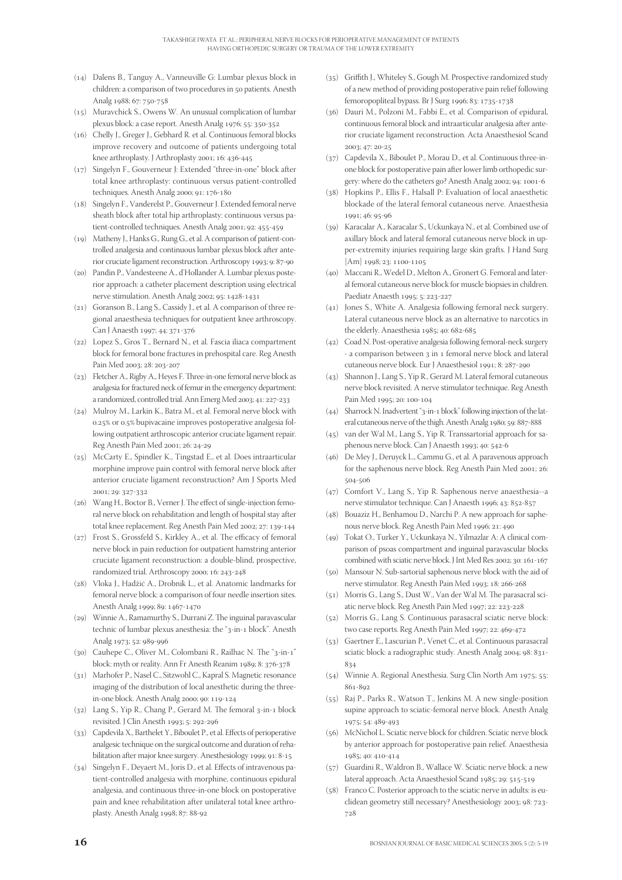- () Dalens B., Tanguy A., Vanneuville G: Lumbar plexus block in children: a comparison of two procedures in 50 patients. Anesth Analg 1988; 67: 750-758
- () Muravchick S., Owens W. An unusual complication of lumbar plexus block: a case report. Anesth Analg 1976; 55: 350-352
- () Chelly J., Greger J., Gebhard R. et al. Continuous femoral blocks improve recovery and outcome of patients undergoing total knee arthroplasty. J Arthroplasty 2001; 16: 436-445
- () Singelyn F., Gouverneur J: Extended "three-in-one" block after total knee arthroplasty: continuous versus patient-controlled techniques. Anesth Analg 2000; 91: 176-180
- () Singelyn F., Vanderelst P., Gouverneur J. Extended femoral nerve sheath block after total hip arthroplasty: continuous versus patient-controlled techniques. Anesth Analg 2001; 92: 455-459
- () Matheny J., Hanks G., Rung G., et al. A comparison of patient-controlled analgesia and continuous lumbar plexus block after anterior cruciate ligament reconstruction. Arthroscopy 1993; 9: 87-90
- () Pandin P., Vandesteene A., d'Hollander A. Lumbar plexus posterior approach: a catheter placement description using electrical nerve stimulation. Anesth Analg 2002; 95: 1428-1431
- (21) Goranson B., Lang S., Cassidy J., et al. A comparison of three regional anaesthesia techniques for outpatient knee arthroscopy. Can J Anaesth 1997; 44: 371-376
- (22) Lopez S., Gros T., Bernard N., et al. Fascia iliaca compartment block for femoral bone fractures in prehospital care. Reg Anesth Pain Med 2003; 28: 203-207
- (23) Fletcher A., Rigby A., Heyes F. Three-in-one femoral nerve block as analgesia for fractured neck of femur in the emergency department: a randomized, controlled trial. Ann Emerg Med 2003; 41: 227-233
- $(24)$  Mulroy M., Larkin K., Batra M., et al. Femoral nerve block with 0.25% or 0.5% bupivacaine improves postoperative analgesia following outpatient arthroscopic anterior cruciate ligament repair. Reg Anesth Pain Med 2001; 26: 24-29
- (25) McCarty E., Spindler K., Tingstad E., et al. Does intraarticular morphine improve pain control with femoral nerve block after anterior cruciate ligament reconstruction? Am J Sports Med 2001; 29: 327-332
- (26) Wang H., Boctor B., Verner J. The effect of single-injection femoral nerve block on rehabilitation and length of hospital stay after total knee replacement. Reg Anesth Pain Med 2002; 27: 139-144
- $(27)$  Frost S., Grossfeld S., Kirkley A., et al. The efficacy of femoral nerve block in pain reduction for outpatient hamstring anterior cruciate ligament reconstruction: a double-blind, prospective, randomized trial. Arthroscopy 2000; 16: 243-248
- () Vloka J., Hadžić A., Drobnik L., et al. Anatomic landmarks for femoral nerve block: a comparison of four needle insertion sites. Anesth Analg 1999; 89: 1467-1470
- $(29)$  Winnie A., Ramamurthy S., Durrani Z. The inguinal paravascular technic of lumbar plexus anesthesia: the "3-in-1 block". Anesth Analg 1973; 52: 989-996
- (30) Cauhepe C., Oliver M., Colombani R., Railhac N. The "3-in-1" block: myth or reality. Ann Fr Anesth Reanim 1989; 8: 376-378
- () Marhofer P., Nasel C., Sitzwohl C., Kapral S. Magnetic resonance imaging of the distribution of local anesthetic during the threein-one block. Anesth Analg 2000; 90: 119-124
- $(32)$  Lang S., Yip R., Chang P., Gerard M. The femoral  $3$ -in-1 block revisited. J Clin Anesth 1993; 5: 292-296
- (33) Capdevila X., Barthelet Y., Biboulet P., et al. Effects of perioperative analgesic technique on the surgical outcome and duration of rehabilitation after major knee surgery. Anesthesiology 1999; 91: 8-15
- (34) Singelyn F., Deyaert M., Joris D., et al. Effects of intravenous patient-controlled analgesia with morphine, continuous epidural analgesia, and continuous three-in-one block on postoperative pain and knee rehabilitation after unilateral total knee arthroplasty. Anesth Analg 1998; 87: 88-92
- $(35)$  Griffith J., Whiteley S., Gough M. Prospective randomized study of a new method of providing postoperative pain relief following femoropopliteal bypass. Br J Surg 1996; 83: 1735-1738
- () Dauri M., Polzoni M., Fabbi E., et al. Comparison of epidural, continuous femoral block and intraarticular analgesia after anterior cruciate ligament reconstruction. Acta Anaesthesiol Scand  $2003; 47: 20-25$
- () Capdevila X., Biboulet P., Morau D., et al. Continuous three-inone block for postoperative pain after lower limb orthopedic surgery: where do the catheters go? Anesth Analg 2002; 94: 1001-6
- () Hopkins P., Ellis F., Halsall P: Evaluation of local anaesthetic blockade of the lateral femoral cutaneous nerve. Anaesthesia  $1001:46:05.06$
- (39) Karacalar A., Karacalar S., Uckunkaya N., et al. Combined use of axillary block and lateral femoral cutaneous nerve block in upper-extremity injuries requiring large skin grafts. J Hand Surg  $[Am]$  1998; 23: 1100-1105
- (40) Maccani R., Wedel D., Melton A., Gronert G. Femoral and lateral femoral cutaneous nerve block for muscle biopsies in children. Paediatr Anaesth 1995; 5: 223-227
- $(41)$  Jones S., White A. Analgesia following femoral neck surgery. Lateral cutaneous nerve block as an alternative to narcotics in the elderly. Anaesthesia 1985; 40: 682-685
- (42) Coad N. Post-operative analgesia following femoral-neck surgery - a comparison between 3 in 1 femoral nerve block and lateral cutaneous nerve block. Eur J Anaesthesiol 1991; 8: 287-290
- (43) Shannon J., Lang S., Yip R., Gerard M. Lateral femoral cutaneous nerve block revisited. A nerve stimulator technique. Reg Anesth Pain Med 1995; 20: 100-104
- $(44)$  Sharrock N. Inadvertent "3-in-1 block" following injection of the lateral cutaneous nerve of the thigh. Anesth Analg 1980; 59: 887-888
- (45) van der Wal M., Lang S., Yip R. Transsartorial approach for saphenous nerve block. Can J Anaesth 1993; 40: 542-6
- (46) De Mey J., Deruyck L., Cammu G., et al. A paravenous approach for the saphenous nerve block. Reg Anesth Pain Med 2001; 26: 504-506
- (47) Comfort V., Lang S., Yip R. Saphenous nerve anaesthesia--a nerve stimulator technique. Can J Anaesth 1996; 43: 852-857
- (48) Bouaziz H., Benhamou D., Narchi P. A new approach for saphenous nerve block. Reg Anesth Pain Med 1996; 21: 490
- (49) Tokat O., Turker Y., Uckunkaya N., Yilmazlar A: A clinical comparison of psoas compartment and inguinal paravascular blocks combined with sciatic nerve block. J Int Med Res 2002; 30: 161-167
- (50) Mansour N. Sub-sartorial saphenous nerve block with the aid of nerve stimulator. Reg Anesth Pain Med 1993; 18: 266-268
- (51) Morris G., Lang S., Dust W., Van der Wal M. The parasacral sciatic nerve block. Reg Anesth Pain Med 1997; 22: 223-228
- (52) Morris G., Lang S. Continuous parasacral sciatic nerve block: two case reports. Reg Anesth Pain Med 1997; 22: 469-472
- (53) Gaertner E., Lascurian P., Venet C., et al. Continuous parasacral sciatic block: a radiographic study. Anesth Analg 2004; 98: 831-834
- $(54)$  Winnie A. Regional Anesthesia. Surg Clin North Am 1975; 55: 861-892
- (55) Raj P., Parks R., Watson T., Jenkins M. A new single-position supine approach to sciatic-femoral nerve block. Anesth Analg 1975; 54: 489-493
- (56) McNichol L. Sciatic nerve block for children. Sciatic nerve block by anterior approach for postoperative pain relief. Anaesthesia 1985; 40: 410-414
- (57) Guardini R., Waldron B., Wallace W. Sciatic nerve block: a new lateral approach. Acta Anaesthesiol Scand 1985; 29: 515-519
- $(58)$  Franco C. Posterior approach to the sciatic nerve in adults: is euclidean geometry still necessary? Anesthesiology 2003; 98: 723-728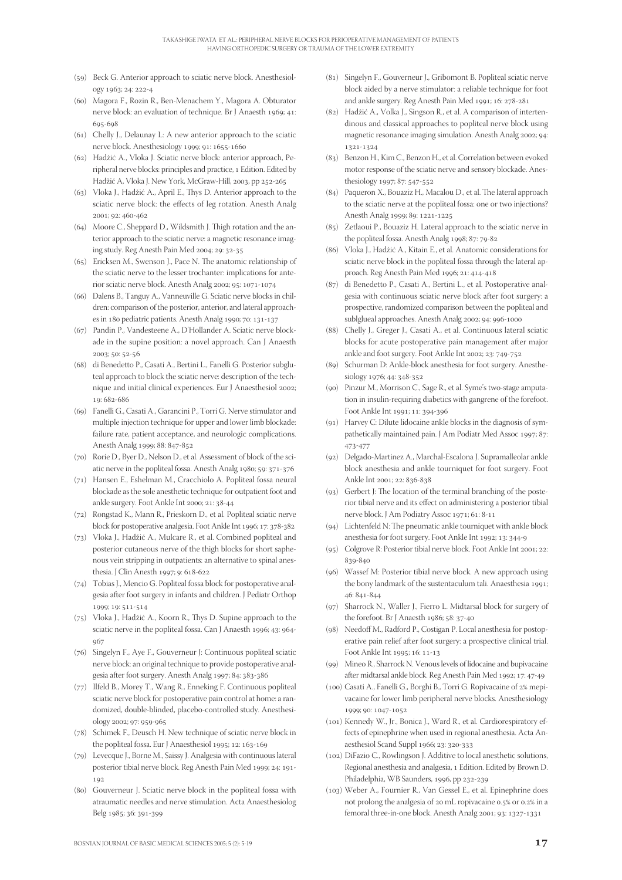- (59) Beck G. Anterior approach to sciatic nerve block. Anesthesiology 1963; 24: 222-4
- (60) Magora F., Rozin R., Ben-Menachem Y., Magora A. Obturator nerve block: an evaluation of technique. Br J Anaesth 1969: 41: 695-698
- $(61)$  Chelly J., Delaunay L: A new anterior approach to the sciatic nerve block. Anesthesiology 1999; 91: 1655-1660
- (62) Hadžić A., Vloka J. Sciatic nerve block: anterior approach, Peripheral nerve blocks: principles and practice, 1 Edition. Edited by Hadžić A, Vloka J. New York, McGraw-Hill, 2003, pp 252-265
- (63) Vloka J., Hadžić A., April E., Thys D. Anterior approach to the sciatic nerve block: the effects of leg rotation. Anesth Analg 2001; 92; 460-462
- (64) Moore C., Sheppard D., Wildsmith J. Thigh rotation and the anterior approach to the sciatic nerve: a magnetic resonance imaging study. Reg Anesth Pain Med 2004; 29: 32-35
- $(65)$  Ericksen M., Swenson J., Pace N. The anatomic relationship of the sciatic nerve to the lesser trochanter: implications for anterior sciatic nerve block. Anesth Analg 2002; 95: 1071-1074
- (66) Dalens B., Tanguy A., Vanneuville G. Sciatic nerve blocks in children: comparison of the posterior, anterior, and lateral approaches in 180 pediatric patients. Anesth Analg 1990; 70: 131-137
- (67) Pandin P., Vandesteene A., D'Hollander A. Sciatic nerve blockade in the supine position: a novel approach. Can J Anaesth 2003; 50: 52-56
- (68) di Benedetto P., Casati A., Bertini L., Fanelli G. Posterior subgluteal approach to block the sciatic nerve: description of the technique and initial clinical experiences. Eur J Anaesthesiol 2002; 19: 682-686
- () Fanelli G., Casati A., Garancini P., Torri G. Nerve stimulator and multiple injection technique for upper and lower limb blockade: failure rate, patient acceptance, and neurologic complications. Anesth Analg 1999; 88: 847-852
- (70) Rorie D., Byer D., Nelson D., et al. Assessment of block of the sciatic nerve in the popliteal fossa. Anesth Analg 1980; 59: 371-376
- (71) Hansen E., Eshelman M., Cracchiolo A. Popliteal fossa neural blockade as the sole anesthetic technique for outpatient foot and ankle surgery. Foot Ankle Int 2000; 21: 38-44
- (72) Rongstad K., Mann R., Prieskorn D., et al. Popliteal sciatic nerve block for postoperative analgesia. Foot Ankle Int 1996; 17: 378-382
- (73) Vloka J., Hadžić A., Mulcare R., et al. Combined popliteal and posterior cutaneous nerve of the thigh blocks for short saphenous vein stripping in outpatients: an alternative to spinal anesthesia. J Clin Anesth 1997; 9: 618-622
- (74) Tobias J., Mencio G. Popliteal fossa block for postoperative analgesia after foot surgery in infants and children. J Pediatr Orthop 1999; 19; 511-514
- (75) Vloka J., Hadžić A., Koorn R., Thys D. Supine approach to the sciatic nerve in the popliteal fossa. Can J Anaesth 1996; 43: 964- $067$
- (76) Singelyn F., Aye F., Gouverneur J: Continuous popliteal sciatic nerve block: an original technique to provide postoperative analgesia after foot surgery. Anesth Analg 1997; 84: 383-386
- (77) Ilfeld B., Morey T., Wang R., Enneking F. Continuous popliteal sciatic nerve block for postoperative pain control at home: a randomized, double-blinded, placebo-controlled study. Anesthesiology 2002; 97: 959-965
- (78) Schimek F., Deusch H. New technique of sciatic nerve block in the popliteal fossa. Eur J Anaesthesiol 1995; 12: 163-169
- (79) Levecque J., Borne M., Saissy J. Analgesia with continuous lateral posterior tibial nerve block. Reg Anesth Pain Med 1999; 24: 191-192
- (80) Gouverneur J. Sciatic nerve block in the popliteal fossa with atraumatic needles and nerve stimulation. Acta Anaesthesiolog Belg 1985; 36: 391-399
- () Singelyn F., Gouverneur J., Gribomont B. Popliteal sciatic nerve block aided by a nerve stimulator: a reliable technique for foot and ankle surgery. Reg Anesth Pain Med 1991; 16: 278-281
- (82) Hadžić A., Volka J., Singson R., et al. A comparison of intertendinous and classical approaches to popliteal nerve block using magnetic resonance imaging simulation. Anesth Analg 2002; 94: 1321-1324
- (83) Benzon H., Kim C., Benzon H., et al. Correlation between evoked motor response of the sciatic nerve and sensory blockade. Anesthesiology 1997; 87: 547-552
- (84) Paqueron X., Bouaziz H., Macalou D., et al. The lateral approach to the sciatic nerve at the popliteal fossa: one or two injections? Anesth Analg 1999; 89: 1221-1225
- (85) Zetlaoui P., Bouaziz H. Lateral approach to the sciatic nerve in the popliteal fossa. Anesth Analg 1998; 87: 79-82
- () Vloka J., Hadžić A., Kitain E., et al. Anatomic considerations for sciatic nerve block in the popliteal fossa through the lateral approach. Reg Anesth Pain Med 1996; 21: 414-418
- () di Benedetto P., Casati A., Bertini L., et al. Postoperative analgesia with continuous sciatic nerve block after foot surgery: a prospective, randomized comparison between the popliteal and sublglueal approaches. Anesth Analg 2002; 94: 996-1000
- (88) Chelly J., Greger J., Casati A., et al. Continuous lateral sciatic blocks for acute postoperative pain management after major ankle and foot surgery. Foot Ankle Int 2002; 23: 749-752
- (89) Schurman D: Ankle-block anesthesia for foot surgery. Anesthesiology 1976; 44: 348-352
- (90) Pinzur M., Morrison C., Sage R., et al. Syme's two-stage amputation in insulin-requiring diabetics with gangrene of the forefoot. Foot Ankle Int 1991; 11: 394-396
- $(91)$  Harvey C: Dilute lidocaine ankle blocks in the diagnosis of sympathetically maintained pain. J Am Podiatr Med Assoc 1997; 87: 473-477
- (92) Delgado-Martinez A., Marchal-Escalona J. Supramalleolar ankle block anesthesia and ankle tourniquet for foot surgery. Foot Ankle Int 2001; 22: 836-838
- $(93)$  Gerbert J: The location of the terminal branching of the posterior tibial nerve and its effect on administering a posterior tibial nerve block. J Am Podiatry Assoc 1971; 61: 8-11
- $(94)$  Lichtenfeld N: The pneumatic ankle tourniquet with ankle block anesthesia for foot surgery. Foot Ankle Int 1992: 13: 344-9
- (95) Colgrove R: Posterior tibial nerve block. Foot Ankle Int  $2001$ ;  $22$ : 839-840
- (96) Wassef M: Posterior tibial nerve block. A new approach using the bony landmark of the sustentaculum tali. Anaesthesia 1991; 46: 841-844
- (97) Sharrock N., Waller J., Fierro L. Midtarsal block for surgery of the forefoot. Br J Anaesth 1986; 58: 37-40
- (98) Needoff M., Radford P., Costigan P. Local anesthesia for postoperative pain relief after foot surgery: a prospective clinical trial. Foot Ankle Int 1995; 16: 11-13
- (99) Mineo R., Sharrock N. Venous levels of lidocaine and bupivacaine after midtarsal ankle block. Reg Anesth Pain Med 1992; 17: 47-49
- (100) Casati A., Fanelli G., Borghi B., Torri G. Ropivacaine of 2% mepivacaine for lower limb peripheral nerve blocks. Anesthesiology 1999; 90: 1047-1052
- (101) Kennedy W., Jr., Bonica J., Ward R., et al. Cardiorespiratory effects of epinephrine when used in regional anesthesia. Acta Anaesthesiol Scand Suppl 1966; 23: 320-333
- () DiFazio C., Rowlingson J. Additive to local anesthetic solutions, Regional anesthesia and analgesia, Edition. Edited by Brown D. Philadelphia, WB Saunders, 1996, pp 232-239
- () Weber A., Fournier R., Van Gessel E., et al. Epinephrine does not prolong the analgesia of 20 mL ropivacaine 0.5% or 0.2% in a femoral three-in-one block. Anesth Analg 2001; 93: 1327-1331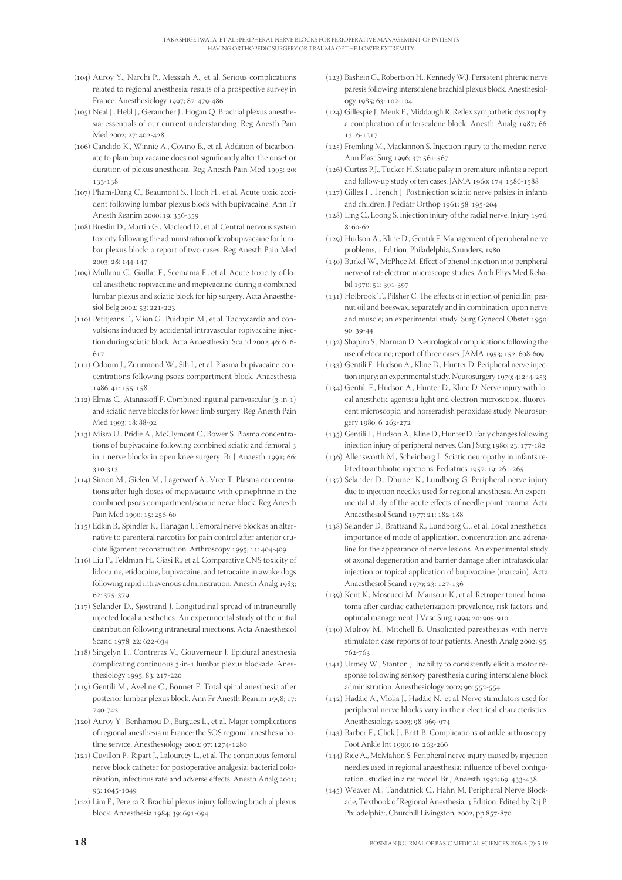- () Auroy Y., Narchi P., Messiah A., et al. Serious complications related to regional anesthesia: results of a prospective survey in France. Anesthesiology 1997; 87: 479-486
- () Neal J., Hebl J., Gerancher J., Hogan Q. Brachial plexus anesthesia: essentials of our current understanding. Reg Anesth Pain Med 2002; 27: 402-428
- () Candido K., Winnie A., Covino B., et al. Addition of bicarbonate to plain bupivacaine does not significantly alter the onset or duration of plexus anesthesia. Reg Anesth Pain Med 1995; 20: 133-138
- (107) Pham-Dang C., Beaumont S., Floch H., et al. Acute toxic accident following lumbar plexus block with bupivacaine. Ann Fr Anesth Reanim 2000; 19: 356-359
- () Breslin D., Martin G., Macleod D., et al. Central nervous system toxicity following the administration of levobupivacaine for lumbar plexus block: a report of two cases. Reg Anesth Pain Med 2003; 28: 144-147
- () Mullanu C., Gaillat F., Scemama F., et al. Acute toxicity of local anesthetic ropivacaine and mepivacaine during a combined lumbar plexus and sciatic block for hip surgery. Acta Anaesthesiol Belg 2002; 53: 221-223
- (110) Petitjeans F., Mion G., Puidupin M., et al. Tachycardia and convulsions induced by accidental intravascular ropivacaine injection during sciatic block. Acta Anaesthesiol Scand 2002; 46: 616-617
- (111) Odoom J., Zuurmond W., Sih I., et al. Plasma bupivacaine concentrations following psoas compartment block. Anaesthesia 1986; 41: 155-158
- $(112)$  Elmas C., Atanassoff P. Combined inguinal paravascular  $(3-in-1)$ and sciatic nerve blocks for lower limb surgery. Reg Anesth Pain Med 1993; 18: 88-92
- () Misra U., Pridie A., McClymont C., Bower S. Plasma concentrations of bupivacaine following combined sciatic and femoral in 1 nerve blocks in open knee surgery. Br J Anaesth 1991; 66: 310-313
- (114) Simon M., Gielen M., Lagerwerf A., Vree T. Plasma concentrations after high doses of mepivacaine with epinephrine in the combined psoas compartment/sciatic nerve block. Reg Anesth Pain Med 1990; 15: 256-60
- (115) Edkin B., Spindler K., Flanagan J. Femoral nerve block as an alternative to parenteral narcotics for pain control after anterior cruciate ligament reconstruction. Arthroscopy 1995; 11: 404-409
- () Liu P., Feldman H., Giasi R., et al. Comparative CNS toxicity of lidocaine, etidocaine, bupivacaine, and tetracaine in awake dogs following rapid intravenous administration. Anesth Analg 1983; 62: 375-379
- $(117)$  Selander D., Sjostrand J. Longitudinal spread of intraneurally injected local anesthetics. An experimental study of the initial distribution following intraneural injections. Acta Anaesthesiol Scand 1978; 22: 622-634
- (118) Singelyn F., Contreras V., Gouverneur J. Epidural anesthesia complicating continuous 3-in-1 lumbar plexus blockade. Anesthesiology 1995; 83: 217-220
- (119) Gentili M., Aveline C., Bonnet F. Total spinal anesthesia after posterior lumbar plexus block. Ann Fr Anesth Reanim 1998; 17: 740-742
- () Auroy Y., Benhamou D., Bargues L., et al. Major complications of regional anesthesia in France: the SOS regional anesthesia hotline service. Anesthesiology 2002; 97: 1274-1280
- (121) Cuvillon P., Ripart J., Lalourcey L., et al. The continuous femoral nerve block catheter for postoperative analgesia: bacterial colonization, infectious rate and adverse effects. Anesth Analg 2001; 93: 1045-1049
- (122) Lim E., Pereira R. Brachial plexus injury following brachial plexus block. Anaesthesia 1984; 39: 691-694
- () Bashein G., Robertson H., Kennedy W.J. Persistent phrenic nerve paresis following interscalene brachial plexus block. Anesthesiology 1985; 63: 102-104
- $(124)$  Gillespie J., Menk E., Middaugh R. Reflex sympathetic dystrophy: a complication of interscalene block. Anesth Analg 1987; 66: 1216-1217
- $(125)$  Fremling M., Mackinnon S. Injection injury to the median nerve. Ann Plast Surg 1996; 37: 561-567
- () Curtiss P.J., Tucker H. Sciatic palsy in premature infants: a report and follow-up study of ten cases. JAMA  $1960; 174: 1586-1588$
- $(127)$  Gilles F., French J. Postinjection sciatic nerve palsies in infants and children. J Pediatr Orthop 1961; 58: 195-204
- ( $128$ ) Ling C., Loong S. Injection injury of the radial nerve. Injury  $1976$ ;  $8.60 - 62$
- (129) Hudson A., Kline D., Gentili F. Management of peripheral nerve problems, Edition. Philadelphia, Saunders,
- $(130)$  Burkel W., McPhee M. Effect of phenol injection into peripheral nerve of rat: electron microscope studies. Arch Phys Med Rehabil 1970; 51: 391-397
- $(131)$  Holbrook T., Pilsher C. The effects of injection of penicillin; peanut oil and beeswax, separately and in combination, upon nerve and muscle; an experimental study. Surg Gynecol Obstet 1950;  $90: 39 - 44$
- (132) Shapiro S., Norman D. Neurological complications following the use of efocaine; report of three cases. JAMA 1953; 152: 608-609
- (133) Gentili F., Hudson A., Kline D., Hunter D. Peripheral nerve injection injury: an experimental study. Neurosurgery 1979; 4: 244-253
- (134) Gentili F., Hudson A., Hunter D., Kline D. Nerve injury with local anesthetic agents: a light and electron microscopic, fluorescent microscopic, and horseradish peroxidase study. Neurosurgery 1980; 6: 263-272
- (135) Gentili F., Hudson A., Kline D., Hunter D. Early changes following injection injury of peripheral nerves. Can J Surg 1980; 23: 177-182
- (136) Allensworth M., Scheinberg L. Sciatic neuropathy in infants related to antibiotic injections. Pediatrics 1957; 19: 261-265
- (137) Selander D., Dhuner K., Lundborg G. Peripheral nerve injury due to injection needles used for regional anesthesia. An experimental study of the acute effects of needle point trauma. Acta Anaesthesiol Scand 1977; 21: 182-188
- (138) Selander D., Brattsand R., Lundborg G., et al. Local anesthetics: importance of mode of application, concentration and adrenaline for the appearance of nerve lesions. An experimental study of axonal degeneration and barrier damage after intrafascicular injection or topical application of bupivacaine (marcain). Acta Anaesthesiol Scand 1979; 23: 127-136
- (139) Kent K., Moscucci M., Mansour K., et al. Retroperitoneal hematoma after cardiac catheterization: prevalence, risk factors, and optimal management. J Vasc Surg 1994; 20: 905-910
- (140) Mulroy M., Mitchell B. Unsolicited paresthesias with nerve stimulator: case reports of four patients. Anesth Analg 2002; 95: 762-763
- (141) Urmey W., Stanton J. Inability to consistently elicit a motor response following sensory paresthesia during interscalene block administration. Anesthesiology 2002; 96: 552-554
- () Hadžić A., Vloka J., Hadžić N., et al. Nerve stimulators used for peripheral nerve blocks vary in their electrical characteristics. Anesthesiology 2003; 98: 969-974
- () Barber F., Click J., Britt B. Complications of ankle arthroscopy. Foot Ankle Int 1990; 10: 263-266
- (144) Rice A., McMahon S: Peripheral nerve injury caused by injection needles used in regional anaesthesia: influence of bevel configuration., studied in a rat model. Br J Anaesth 1992; 69: 433-438
- (145) Weaver M., Tandatnick C., Hahn M. Peripheral Nerve Blockade, Textbook of Regional Anesthesia, Edition. Edited by Raj P. Philadelphia:, Churchill Livingston, 2002, pp 857-870